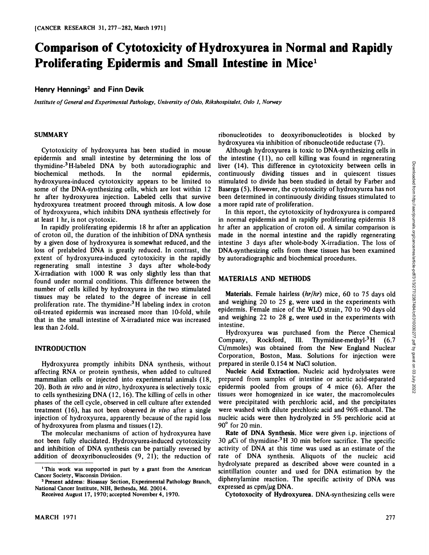# **Comparison of Cytotoxicity of Hydroxyurea** in Normal and Rapidly **Proliferating Epidermis and Small Intestine in Mice'**

# **HenryHennings2and Finn Devik**

*Institute of General and Experimental Pathology, University ofOslo, Rikshospitalet, Oslo 1, Norway*

#### **SUMMARY**

Cytotoxicity of hydroxyurea has been studied in mouse epidermis and small intestine by determining the loss of thymidine-3 H-labeled DNA by both autoradiographic and biochemical methods. In the normal epidermis, hydroxyurea-induced cytotoxicity appears to be limited to some of the DNA-synthesizing cells, which are lost within 12 hr after hydroxyurea injection. Labeled cells that survive hydroxyurea treatment proceed through mitosis. A low dose of hydroxyurea, which inhibits DNA synthesis effectively for at least 1 hr, is not cytotoxic.

In rapidly proliferating epidermis 18 hr after an application of croton oil, the duration of the inhibition of DNA synthesis by a given dose of hydroxyurea is somewhat reduced, and the loss of prelabeled DNA is greatly reduced. In contrast, the extent of hydroxyurea-induced cytotoxicity in the rapidly regenerating small intestine 3 days after whole-body X-irradiation with 1000 R was only slightly less than that found under normal conditions. This difference between the number of cells killed by hydroxyurea in the two stimulated tissues may be related to the degree of increase in cell proliferation rate. The thymidine-3H labeling index in croton oil-treated epidermis was increased more than 10-fold, while that in the small intestine of X-irradiated mice was increased less than 2-fold.

#### **INTRODUCTION**

Hydroxyurea promptly inhibits DNA synthesis, without affecting RNA or protein synthesis, when added to cultured mammalian cells or injected into experimental animals (18, 20). Both in vivo and in vitro, hydroxyurea is selectively toxic to cells synthesizing  $DNA(12, 16)$ . The killing of cells in other phases of the cell cycle, observed in cell culture after extended treatment  $(16)$ , has not been observed in vivo after a single injection of hydroxyurea, apparently because of the rapid loss of hydroxyurea from plasma and tissues (12).

The molecular mechanisms of action of hydroxyurea have not been fully elucidated. Hydroxyurea-induced cytotoxicity and inhibition of DNA synthesis can be partially reversed by addition of deoxyribonucleosides  $(9, 21)$ ; the reduction of nbonucleotides to deoxyribonucleotides is blocked by hydroxyurea via inhibition of ribonucleotide reductase (7).

Although hydroxyurea is toxic to DNA-synthesizing cells in liver (14). This difference in cytotoxicity between cells in continuously dividing tissues and in quiescent tissues stimulated to divide has been studied in detail by Farber and Baserga (5). However, the cytotoxicity of hydroxyurea has not been determined in continuously dividing tissues stimulated to a more rapid rate of proliferation.

the intestine (11), no cell killing was found in regenerating liver (14). This difference in cytotoxicity between cells in contrinuously dividing tissues and in quiescent tissues stimulated to divide has been studied in d In this report, the cytotoxicity of hydroxyurea is compared in normal epidermis and in rapidly proliferating epidermis 18 hr after an application of croton oil. A similar comparison is made in the normal intestine and the rapidly regenerating intestine 3 days after whole-body X-irradiation. The loss of DNA-synthesizing cells from these tissues has been examined by autoradiographic and biochemical procedures.

#### **MATERIALS AND METHODS**

Materials. Female hairless (hr/hr) mice, 60 to 75 days old and weighing 20 to 25 g, were used in the experiments with epidermis. Female mice of the WLO strain, 70 to 90 days old and weighing 22 to 28 g, were used in the experiments with intestine.

Hydroxyurea was purchased from the Pierce Chemical Company, Rockford, Ill. Thymidine-methyl-<sup>3</sup>H (6.7) Ci/mmoles) was obtained from the New England Nuclear Corporation, Boston, Mass. Solutions for injection were prepared in sterile 0.154 M NaCI solution.

Nucleic Acid Extraction. Nucleic acid hydrolysates were prepared from samples of intestine or acetic acid-separated epidermis pooled from groups of 4 mice (6). After the tissues were homogenized in ice water, the macromolecules were precipitated with perchioric acid, and the precipitates were washed with dilute perchloric acid and 96% ethanol. The nucleic acids were then hydrolyzed in 5% perchloric acid at 90° for 20 min.

Rate of DNA Synthesis. Mice were given i.p. injections of 30  $\mu$ Ci of thymidine<sup>3</sup>H 30 min before sacrifice. The specific activity of DNA at this time was used as an estimate of the rate of DNA synthesis. Aliquots of the nucleic acid hydrolysate prepared as described above were counted in a scintillation counter and used for DNA estimation by the diphenylamine reaction. The specific activity of DNA was expressed as  $cpm/\mu g$  DNA.

Cytotoxocity of Hydroxyurea. DNA-synthesizing cells were

<sup>&</sup>lt;sup>1</sup>This work was supported in part by a grant from the American Cancer Society, Wisconsin Division.

**<sup>2</sup> Present address: Bioassay Section, Experimental Pathology Branch,** National Cancer Institute, NIH, Bethesda, Md. 20014.

Received August 17, 1970; accepted November 4, 1970.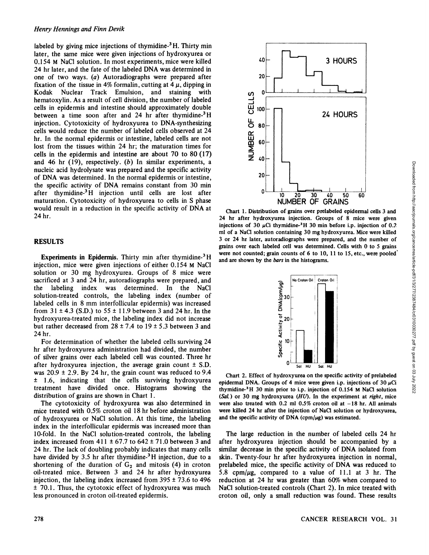labeled by giving mice injections of thymidine- $3$  H. Thirty min later, the same mice were given injections of hydroxyurea or 0.154 M NaCI solution. In most experiments, mice were killed 24 hr later, and the fate of the labeled DNA was determined in one of two ways. (a) Autoradiographs were prepared after fixation of the tissue in 4% formalin, cutting at  $4 \mu$ , dipping in Kodak Nuclear Track Emulsion, and staining with hematoxylin. As a result of cell division, the number of labeled cells in epidermis and intestine should approximately double between a time soon after and 24 hr after thymidine-<sup>3</sup>H injection. Cytotoxicity of hydroxyurea to DNA-synthesizing cells would reduce the number of labeled cells observed at 24 hr. In the normal epidermis or intestine, labeled cells are not lost from the tissues within 24 hr; the maturation times for cells in the epidermis and intestine are about 70 to 80 (17) and 46 hr  $(19)$ , respectively.  $(b)$  In similar experiments, a nucleic acid hydrolysate was prepared and the specific activity of DNA was determined. In the normal epidermis or intestine, the specific activity of DNA remains constant from 30 min after thymidine-3 H injection until cells are lost after maturation. Cytotoxicity of hydroxyurea to cells in S phase would result in a reduction in the specific activity of DNA at 24 hr.

### **RESULTS**

**Experiments in Epidermis.** Thirty min after thymidine- $3$  H injection, mice were given injections of either 0.154 M NaCl solution or 30 mg hydroxyurea. Groups of 8 mice were sacrificed at 3 and 24 hr, autoradiographs were prepared, and the labeling index was determined. In the NaC1 solution-treated controls, the labeling index (number of labeled cells in 8 mm interfollicular epidermis) was increased from  $31 \pm 4.3$  (S.D.) to  $55 \pm 11.9$  between 3 and 24 hr. In the hydroxyurea-treated mice, the labeling index did not increase but rather decreased from  $28 \pm 7.4$  to  $19 \pm 5.3$  between 3 and 24 hr.

For determination of whether the labeled cells surviving 24 hr after hydroxyurea administration had divided, the number of silver grains over each labeled cell was counted. Three hr after hydroxyurea injection, the average grain count  $\pm$  S.D. was  $20.9 \pm 2.9$ . By 24 hr, the grain count was reduced to 9.4 ± I .6, indicating that the cells surviving hydroxyurea treatment have divided once. Histograms showing the distribution of grains are shown in Chart 1.

The cytotoxicity of hydroxyurea was also determined in mice treated with 0.5% croton oil 18 hr before administration of hydroxyurea or NaCl solution. At this time, the labeling index in the interfollicular epidermis was increased more than 10-fold. In the NaCl solution-treated controls, the labeling index increased from  $411 \pm 67.7$  to  $642 \pm 71.0$  between 3 and 24 hr. The lack of doubling probably indicates that many cells have divided by 3.5 hr after thymidine- $3H$  injection, due to a shortening of the duration of  $G_2$  and mitosis (4) in croton oil-treated mice. Between 3 and 24 hr after hydroxyurea injection, the labeling index increased from  $395 \pm 73.6$  to  $496$  $\pm$  70.1. Thus, the cytotoxic effect of hydroxyurea was much less pronounced in croton oil-treated epidermis.



Chart 1. Distribution of grains over prelabeled epidermal cells 3 and 24 hr after hydroxyurea injection. Groups of 8 mice were given injections of 30  $\mu$ Ci thymidine-<sup>3</sup>H 30 min before i.p. injection of 0.2 ml of a NaCl solution containing 30 mg hydroxyurea. Mice were killed 3 or 24 hr later, autoradiographs were prepared, and the number of grains over each labeled cell was determined. Cells with 0 to S grains were not counted; grain counts of 6 to 10, 11 to 15, etc., were pooled' and are shown by the bars in the histograms. **z**  $40$ <br> **z** Downloaded from https://apple.org/cancerres/article-pdf/31/32<br>
Distribution of grains over prehended epidemmal cells 3 and<br>  $\frac{3}{2}$  In solution containing 30 m g hydroxyures. Microsever, killed was determi



Chart 2. Effect of hydroxyurea on the specificactivity of prelabeled epidermal DNA. Groups of 4 mice were given i.p. injections of 30  $\mu$ Ci thymidine-<sup>3</sup>H 30 min prior to i.p. injection of 0.154 M NaCl solution *(SaL) or 30 mg hydroxyurea (HU). In the experiment at right, mice* were also treated with  $0.2$  ml  $0.5\%$  croton oil at  $-18$  hr. All animals were killed 24 hr after the injection of NaCl solution or hydroxyurea, and the specific activity of DNA (cpm/ $\mu$ g) was estimated.

The large reduction in the number of labeled cells 24 hr after hydroxyurea injection should be accompanied by a similar decrease in the specific activity of DNA isolated from skin. Twenty-four hr after hydroxyurea injection in normal, prelabeled mice, the specific activity of DNA was reduced to 5.8 cpm/ $\mu$ g, compared to a value of 11.1 at 3 hr. The reduction at 24 hr was greater than 60% when compared to NaC1 solution-treated controls (Chart 2). In mice treated with croton oil, only a small reduction was found. These results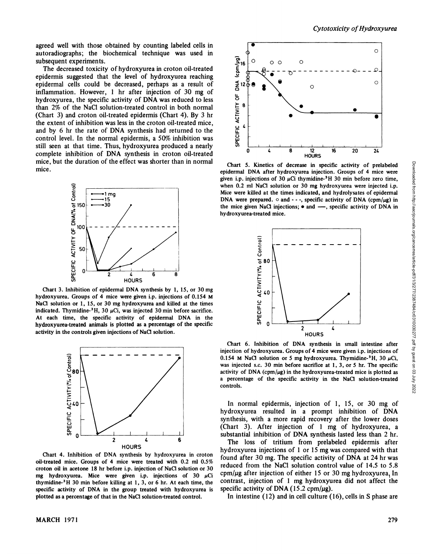agreed well with those obtained by counting labeled cells in subsequent experiments.

autoradiographs; the biochemical technique was used in<br>subsequent experiments.<br>The decreased toxicity of hydroxyurea in croton oil-treated<br>epidermis suggested that the level of hydroxyurea reaching<br>epidermal cells could be The decreased toxicity of hydroxyurea in croton oil-treated epidermis suggested that the level of hydroxyurea reaching epidermal cells could be decreased, perhaps as a result of inflammation. However, I hr after injection of 30 mg of hydroxyurea, the specific activity of DNA was reduced to less than 2% of the NaCl solution-treated control in both normal (Chart 3) and croton oil-treated epidermis (Chart 4). By 3 hr the extent of inhibition was less in the croton oil-treated mice, and by 6 hr the rate of DNA synthesis had returned to the control level. In the normal epidermis, a 50% inhibition was still seen at that time. Thus, hydroxyurea produced a nearly complete inhibition of DNA synthesis in croton oil-treated mice, but the duration of the effect was shorter than in normal mice.



Chart 3. Inhibition of epidermal DNA synthesis by 1, 15, or 30 mg hydroxyurea. Groups of 4 mice were given i.p. injections of 0.154 M NaCl solution or 1, 15, or 30 mg hydroxyurea and killed at the times indicated. Thymidine- $3H$ , 30  $\mu$ Ci, was injected 30 min before sacrifice. **At each time, the specific activity of epidermal DNA in the** hydroxyurea-treated animals is plotted as a percentage of the specific activity in the controls given injections of NaCl solution.



Chart 4. Inhibition of DNA synthesis by hydroxyurea in croton oil-treated mice. Groups of 4 mice were treated with 0.2 ml 0.5% croton oil in acetone 18 hr before i.p. injection of NaCl solution or 30 mg hydroxyurea. Mice were given i.p. injections of 30  $\mu$ Ci thymidine- $3H$  30 min before killing at 1, 3, or 6 hr. At each time, the specific activity of DNA in the group treated with hydroxyurea is plotted as a percentage of that in the NaCl solution-treated control.



epidermal DNA after hydroxyurea injection. Groups of 4 mice were given i.p. injections of 30  $\mu$ Ci thymidine-<sup>3</sup>H 30 min before zero time, when 0.2 ml NaCI solution or 30 mg hydroxyurea were injected i.p. Mice were killed at the times indicated, and hydrolysates of epidermal **DNA** were prepared.  $\circ$  and  $\cdot \cdot \cdot$ , specific activity of DNA (cpm/ $\mu$ g) in the mice given NaCI injections;  $\bullet$  and  $\text{---}$ , specific activity of DNA in hydroxyurea-treated mice.



Chart 6. Inhibition of DNA synthesis in small intestine after injection of hydroxyurea. Groups of 4 mice were given i.p. injections of 0.154 M NaCl solution or 5 mg hydroxyurea. Thymidine- $3H$ , 30  $\mu$ Ci, was injected s.c. 30 min before sacrifice at 1, 3, or 5 hr. The specific activity of DNA (cpm/ $\mu$ g) in the hydroxyurea-treated mice is plotted as a percentage of the specific activity in the NaCl solution-treated controls.

In normal epidermis, injection of 1, 15, or 30 mg of hydroxyurea resulted in a prompt inhibition of DNA synthesis, with a more rapid recovery after the lower doses (Chart 3). After injection of 1 mg of hydroxyurea, a substantial inhibition of DNA synthesis lasted less than 2 hr.

The loss of tritium from prelabeled epidermis after hydroxyurea injections of 1 or 15 mg was compared with that found after 30 mg. The specific activity of DNA at 24 hr was reduced from the NaCl solution control value of 14.5 to 5.8 cpm/ $\mu$ g after injection of either 15 or 30 mg hydroxyurea, In contrast, injection of 1 mg hydroxyurea did not affect the specific activity of DNA (15.2 cpm/ $\mu$ g).

In intestine (12) and in cell culture (16), cells in S phase are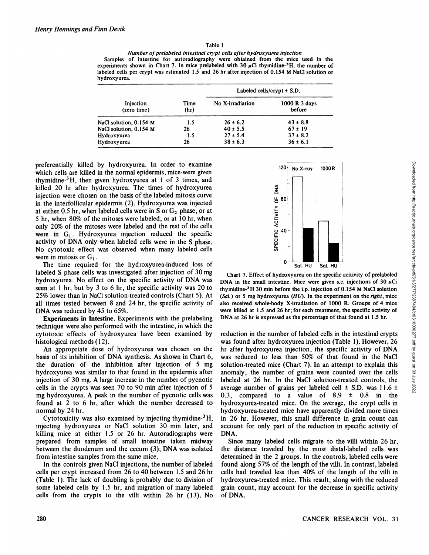#### Table 1

*Number ofprelabeled intestinal crypt cells after hydroxyurea injection* Samples of intestine for autoradiography were obtained from the mice used in the experiments shown in Chart 7. In mice prelabeled with 30  $\mu$ Ci thymidine-<sup>3</sup>H, the number of labeled cells per crypt was estimated 1.5 and 26 hr after injection of 0.154 M NaCl solution or hydroxyurea.

| Injection<br>(zero time) | Time<br>(hr) | Labeled cells/crypt $\pm$ S.D. |                         |
|--------------------------|--------------|--------------------------------|-------------------------|
|                          |              | No X-irradiation               | 1000 R 3 days<br>before |
| NaCl solution, 0.154 M   | 1.5          | $26 \pm 6.2$                   | $43 \pm 8.8$            |
| NaCl solution, 0.154 M   | 26           | $40 \pm 5.5$                   | $67 \pm 19$             |
| Hydroxyurea              | 1.5          | $27 \pm 5.4$                   | $37 \pm 8.2$            |
| Hydroxyurea              | 26           | $38 \pm 6.3$                   | $36 \pm 6.1$            |

preferentially killed by hydroxyurea. In order to examine which cells are killed in the normal epidermis, mice were given thymidine-3H, then given hydroxyurea at 1 of 3 times, and killed 20 hr after hydroxyurea. The times of hydroxyurea injection were chosen on the basis of the labeled mitosis curve in the interfollicular epidermis (2). Hydroxyurea was injected at either 0.5 hr, when labeled cells were in S or  $G_2$  phase, or at *5 hi, when 80% of the mitoses were labeled, or at 10 hr, when* only 20% of the mitoses were labeled and the rest of the cells were in  $G_1$ . Hydroxyurea injection reduced the specific activity of DNA only when labeled cells were in the S phase. No cytotoxic effect was observed when many labeled cells were in mitosis or  $G_1$ .

The time required for the hydroxyurea-induced loss of labeled S phase cells was investigated after injection of 30 mg hydroxyurea. No effect on the specific activity of DNA was seen at 1 hr, but by 3 to 6 hr, the specific activity was  $20$  to *25% lower than in NaCl solution-treated controls (Chart 5). At* all times tested between 8 and 24 hr, the specific activity of DNA was reduced by 45 to 65%.

Experiments in Intestine. Experiments with the prelabeling technique were also performed with the intestine, in which the cytotoxic effects of hydroxyurea have been examined by histological methods (12).

An appropriate dose of hydroxyurea was chosen on the basis of its inhibition of DNA synthesis. As shown in Chart 6, the duration of the inhibition after injection of 5 mg hydroxyurea was similar to that found in the epidermis after injection of 30 mg. A large increase in the number of pycnotic cells in the crypts was seen 70 to 90 min after injection of 5 mg hydroxyurea. A peak in the number of pycnotic cells was found at 2 to 6 hr, after which the number decreased to normal by 24 hr.

Cytotoxicity was also examined by injecting thymidine- ${}^{3}H$ , injecting hydroxyurea or NaCl solution 30 min later, and killing mice at either 1.5 or 26 hr. Autoradiographs were prepared from samples of small intestine taken midway between the duodenum and the cecum (3); DNA was isolated from intestine samples from the same mice.

In the controls given NaCl injections, the number of labeled cells per crypt increased from 26 to 40 between 1.5 and 26 hr (Table 1). The lack of doubling is probably due to division of some labeled cells by  $1.5$  hr, and migration of many labeled cells from the crypts to the villi within 26 hr (13). No



DNA in the small intestine. Mice were given s.c. injections of 30  $\mu$ Ci thymidine-3H 30mm before the i.p. injection of 0.154 M NaCl solution *(SaL) or 5 mg hydroxyurea (HU). In the experiment on the right, mice* also received whole-body X-irradiation of 1000 R. Groups of 4 mice were killed at 1.5 and 26 hr; for each treatment, the specific activity of DNA at 26 hr is expressed as the percentage of that found at 1.5 hr.

120 No X-ray 1000R<br>  $\frac{2}{56}$ <br>  $\frac{2}{56}$ <br>  $\frac{2}{56}$ <br>  $\frac{2}{56}$ <br>  $\frac{2}{56}$ <br>  $\frac{2}{56}$ <br>  $\frac{2}{56}$ <br>  $\frac{2}{56}$ <br>  $\frac{2}{56}$ <br>  $\frac{2}{56}$ <br>  $\frac{2}{56}$ <br>  $\frac{2}{56}$ <br>  $\frac{2}{56}$ <br>  $\frac{2}{56}$ <br>  $\frac{2}{56}$ <br>  $\frac{2}{56}$ <br>  $\frac{2}{56}$ reduction in the number of labeled cells in the intestinal crypts was found after hydroxyurea injection (Table 1). However, 26 hr after hydroxyurea injection, the specific activity of DNA was reduced to less than 50% of that found in the NaCl solution-treated mice (Chart 7). In an attempt to explain this anomaly, the number of grains were counted over the cells labeled at 26 hr. In the NaCl solution-treated controls, the average number of grains per labeled cell  $\pm$  S.D. was 11.6  $\pm$ 0.3, compared to a value of  $8.9 \pm 0.8$  in the hydroxyurea-treated mice. On the average, the crypt cells in hydroxyurea-treated mice have apparently divided more times in 26 hr. However, this small difference in grain count can account for only part of the reduction in specific activity of DNA.

Since many labeled cells migrate to the villi within 26 hr, the distance traveled by the most distal-labeled cells was determined in the 2 groups. In the controls, labeled cells were found along 57% of the length of the villi. In contrast, labeled cells had traveled less than 40% of the length of the villi in hydroxyurea-treated mice. This result, along with the reduced grain count, may account for the decrease in specific activity of DNA.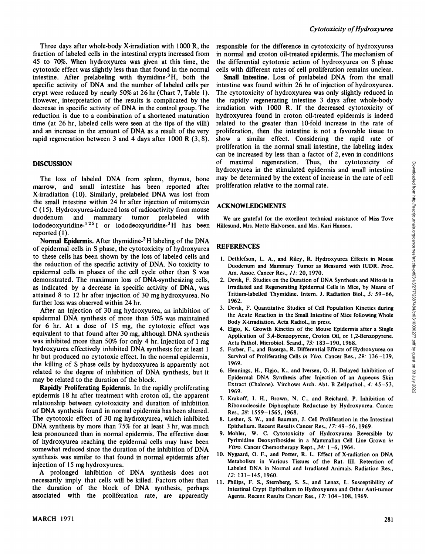Three days after whole-body X-irradiation with 1000 R, the fraction of labeled cells in the intestinal crypts increased from **45 to 70%. When hydroxyurea was given at this time , the** cytotoxic effect was slightly less than that found in the normal intestine. After prelabeling with thymidine-<sup>3</sup>H, both the specific activity of DNA and the number of labeled cells per crypt were reduced by nearly 50% at 26 hr (Chart 7, Table 1). However, interpretation of the results is complicated by the decrease in specific activity of DNA in the control group. The reduction is due to a combination of a shortened maturation time (at 26 hr, labeled cells were seen at the tips of the villi) and an increase in the amount of DNA as a result of the very rapid regeneration between 3 and 4 days after 1000 R (3, 8).

#### **DISCUSSION**

The loss of labeled DNA from spleen, thymus, bone marrow, and small intestine has been reported after X-irradiation ( 10). Similarly, prelabeled DNA was lost from the small intestine within 24 hrafter injection of mitomycin **C (1 5). Hydroxyurea-induced loss of radioactivity from mouse** duodenum and mammary tumor prelabeled with iododeoxyuridine-<sup>125</sup>I or iododeoxyuridine-<sup>3</sup>H has been reported (1).

Normal Epidermis. After thymidine-<sup>3</sup>H labeling of the DNA of epidermal cells in S phase, the cytotoxicity of hydroxyurea to these cells has been shown by the loss of labeled cells and the reduction of the specific activity of DNA. No toxicity to epidermal cells in phases of the cell cycle other than S was demonstrated. The maximum loss of DNA-synthesizing cells, as indicated by a decrease in specific activity of DNA, was attained 8 to 12 hr after injection of 30 mg hydroxyurea. No further loss was observed within 24 hr.

After an injection of 30 mg hydroxyurea, an inhibition of epidermal DNA synthesis of more than 50% was maintained for 6 hr. At a dose of 15 mg, the cytotoxic effect was equivalent to that found after 30 mg, although DNA synthesis was inhibited more than 50% for only 4 hr. Injection of 1 mg hydroxyurea effectively inhibited DNA synthesis for at least 1 hr but produced no cytotoxic effect. In the normal epidermis, the killing of S phase cells by hydroxyurea is apparently not related to the degree of inhibition of DNA synthesis, but it may be related to the duration of the block.

Rapidly Proliferating Epidermis. In the rapidly proliferating epidermis 18 hrafter treatment with croton oil, the apparent relationship between cytotoxicity and duration of inhibition of DNA synthesis found in normal epidermis has been altered. The cytotoxic effect of 30 mg hydroxyurea, which inhibited DNA synthesis by more than 75% for at least 3 hr, was much less pronounced than in normal epidermis. The effective dose of hydroxyurea reaching the epidermal cells may have been somewhat reduced since the duration of the inhibition of DNA synthesis was similar to that found in normal epidermis after injection of 15 mg hydroxyurea.

**A prolonged inhibition of DNA synthesis does not** necessarily imply that cells will be killed. Factors other than the duration of the block of DNA synthesis, perhaps associated with the proliferation rate, are apparently

responsible for the difference in cytotoxicity of hydroxyurea in normal and croton oil-treated epidermis. The mechanism of the differential cytotoxic action of hydroxyurea on S phase cells with different rates of cell proliferation remains unclear.

Small Intestine. Loss of prelabeled DNA from the small intestine was found within 26 hr of injection of hydroxyurea. The cytotoxicity of hydroxyurea was only slightly reduced in the rapidly regenerating intestine 3 days after whole-body irradiation with 1000 R. If the decreased cytotoxicity of hydroxyurea found in croton oil-treated epidermis is indeed related to the greater than 10-fold increase in the rate of proliferation, then the intestine is not a favorable tissue to show a similar effect. Considering the rapid rate of proliferation in the normal small intestine, the labeling index can be increased by less than a factor of 2, even in conditions of maximal regeneration. Thus, the cytotoxicity of of<br>
maximal regeneration. Intus, the cylotoxicity of<br>
hydroxyurea in the stimulated epidermis and small intestine<br>
may be determined by the extent of increase in the rate of cell<br>
proliferation relative to the normal rate may be determined by the extent of increase in the rate of cell proliferation relative to the normal rate.

### **ACKNOWLEDGMENTS**

We are grateful for the excellent technical assistance of Miss Tove Hillesund, Mrs. Mette Halvorsen, and Mrs. Kari Hansen.

## **REFERENCES**

- 1. Dethlefson, L. A., and Riley, R. Hydroxyurea Effects in Mouse Duodenum and Mammary Tumor as Measured with IUDR. Proc. Am. Assoc. Cancer Res., 11: 20, 1970.
- 2. Devik, F. Studies on the Duration of DNA Synthesis and Mitosis in Irradiated and Regenerating Epidermal Cells in Mice, by Means of Tritium-labelled Thymidine. Intern. J. Radiation Biol., 5: 59—66, 1962.
- 3. Devik, F. Quantitative Studies of Cell Population Kinetics during the Acute Reaction in the Small Intestine of Mice following Whole Body X-irradiation. Acta Radiol., in press.
- 4. Elgjo, K. Growth Kinetics of the Mouse Epidermis after a Single Application of 3,4-Benzopyrene, Croton Oil, or 1,2-Benzopyrene. Acta Pathol. Microbiol. Scand., 73: 183—190, 1968.
- 5. Farber, E., and Baserga, R. Differential Effects of Hydroxyurea on Survival of Proliferating Cells in Vivo. Cancer Res., 29: 136—139, 1969.
- **6. Henmngs, H., Elgjo, K., and Iversen, 0. H. Delayed Inhibition of** Epidermal DNA Synthesis after Injection of an Aqueous Skin Extract (Chalone). Virchows Arch. Abt. B Zellpathol., 4: 45—53, 1969.
- 7. Krakoff, I. H., Brown, N. C., and Reichard, P. Inhibition of Ribonucleoside Diphosphate Reductase by Hydroxyurea. Cancer Res., 28: 1559—1565,1968.
- 8. Lesher, S. W., and Bauman, J. Cell Proliferation in the Intestinal Epithelium. Recent Results Cancer Res., 17: 49—56,1969.
- **9. Mohler, W. C. Cytotoxicity of Hydroxyurea Reversible by** Pyrimidine Deoxyribosides in a Mammalian Cell Line Grown in *Vitro. Cancer Chemotherapy Rept., 34: 1—6,1964.*
- 10. Nygaard, 0. F., and Potter, R. L. Effect of X-radiation on DNA Metabolism in Various Tissues of the Rat. III. Retention of Labeled DNA in Normal and irradiated Animals. Radiation Res., 12:131—145, 1960.
- **1 1. Philips, F. S., Sternberg, S. S., and Lenaz, L. Susceptibility of** Intestinal Crypt Epithelium to Hydroxyurea and Other Anti-tumor Agents. Recent Results Cancer Res., 17: 104—108,1969.